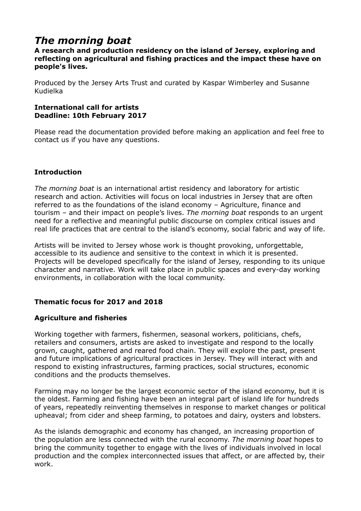# *The morning boat*

## **A research and production residency on the island of Jersey, exploring and reflecting on agricultural and fishing practices and the impact these have on people's lives.**

Produced by the Jersey Arts Trust and curated by Kaspar Wimberley and Susanne Kudielka

#### **International call for artists Deadline: 10th February 2017**

Please read the documentation provided before making an application and feel free to contact us if you have any questions.

# **Introduction**

*The morning boat* is an international artist residency and laboratory for artistic research and action. Activities will focus on local industries in Jersey that are often referred to as the foundations of the island economy – Agriculture, finance and tourism – and their impact on people's lives. *The morning boat* responds to an urgent need for a reflective and meaningful public discourse on complex critical issues and real life practices that are central to the island's economy, social fabric and way of life.

Artists will be invited to Jersey whose work is thought provoking, unforgettable, accessible to its audience and sensitive to the context in which it is presented. Projects will be developed specifically for the island of Jersey, responding to its unique character and narrative. Work will take place in public spaces and every-day working environments, in collaboration with the local community.

# **Thematic focus for 2017 and 2018**

# **Agriculture and fisheries**

Working together with farmers, fishermen, seasonal workers, politicians, chefs, retailers and consumers, artists are asked to investigate and respond to the locally grown, caught, gathered and reared food chain. They will explore the past, present and future implications of agricultural practices in Jersey. They will interact with and respond to existing infrastructures, farming practices, social structures, economic conditions and the products themselves.

Farming may no longer be the largest economic sector of the island economy, but it is the oldest. Farming and fishing have been an integral part of island life for hundreds of years, repeatedly reinventing themselves in response to market changes or political upheaval; from cider and sheep farming, to potatoes and dairy, oysters and lobsters.

As the islands demographic and economy has changed, an increasing proportion of the population are less connected with the rural economy. *The morning boat* hopes to bring the community together to engage with the lives of individuals involved in local production and the complex interconnected issues that affect, or are affected by, their work.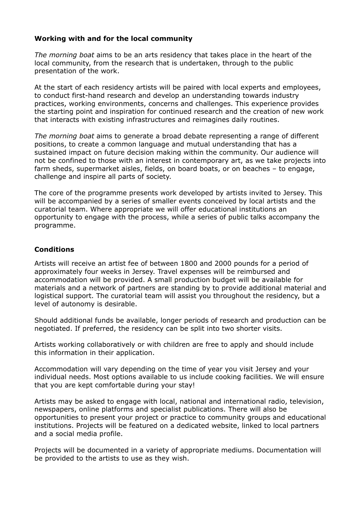## **Working with and for the local community**

*The morning boat* aims to be an arts residency that takes place in the heart of the local community, from the research that is undertaken, through to the public presentation of the work.

At the start of each residency artists will be paired with local experts and employees, to conduct first-hand research and develop an understanding towards industry practices, working environments, concerns and challenges. This experience provides the starting point and inspiration for continued research and the creation of new work that interacts with existing infrastructures and reimagines daily routines.

*The morning boat* aims to generate a broad debate representing a range of different positions, to create a common language and mutual understanding that has a sustained impact on future decision making within the community. Our audience will not be confined to those with an interest in contemporary art, as we take projects into farm sheds, supermarket aisles, fields, on board boats, or on beaches – to engage, challenge and inspire all parts of society.

The core of the programme presents work developed by artists invited to Jersey. This will be accompanied by a series of smaller events conceived by local artists and the curatorial team. Where appropriate we will offer educational institutions an opportunity to engage with the process, while a series of public talks accompany the programme.

## **Conditions**

Artists will receive an artist fee of between 1800 and 2000 pounds for a period of approximately four weeks in Jersey. Travel expenses will be reimbursed and accommodation will be provided. A small production budget will be available for materials and a network of partners are standing by to provide additional material and logistical support. The curatorial team will assist you throughout the residency, but a level of autonomy is desirable.

Should additional funds be available, longer periods of research and production can be negotiated. If preferred, the residency can be split into two shorter visits.

Artists working collaboratively or with children are free to apply and should include this information in their application.

Accommodation will vary depending on the time of year you visit Jersey and your individual needs. Most options available to us include cooking facilities. We will ensure that you are kept comfortable during your stay!

Artists may be asked to engage with local, national and international radio, television, newspapers, online platforms and specialist publications. There will also be opportunities to present your project or practice to community groups and educational institutions. Projects will be featured on a dedicated website, linked to local partners and a social media profile.

Projects will be documented in a variety of appropriate mediums. Documentation will be provided to the artists to use as they wish.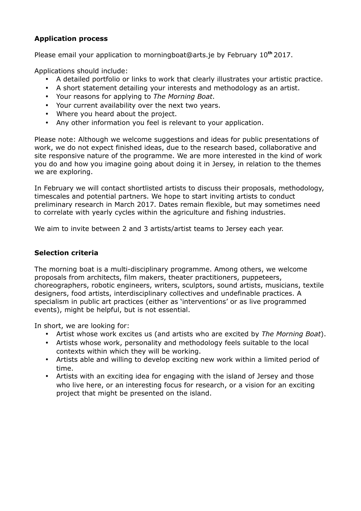# **Application process**

Please email your application to morningboa[t@ar](mailto:kaspar@treacletheatre.co.uk)ts.je by February 10**th** 2017.

Applications should include:

- A detailed portfolio or links to work that clearly illustrates your artistic practice.
- A short statement detailing your interests and methodology as an artist.
- Your reasons for applying to *The Morning Boat*.
- Your current availability over the next two years.
- Where you heard about the project.
- Any other information you feel is relevant to your application.

Please note: Although we welcome suggestions and ideas for public presentations of work, we do not expect finished ideas, due to the research based, collaborative and site responsive nature of the programme. We are more interested in the kind of work you do and how you imagine going about doing it in Jersey, in relation to the themes we are exploring.

In February we will contact shortlisted artists to discuss their proposals, methodology, timescales and potential partners. We hope to start inviting artists to conduct preliminary research in March 2017. Dates remain flexible, but may sometimes need to correlate with yearly cycles within the agriculture and fishing industries.

We aim to invite between 2 and 3 artists/artist teams to Jersey each year.

## **Selection criteria**

The morning boat is a multi-disciplinary programme. Among others, we welcome proposals from architects, film makers, theater practitioners, puppeteers, choreographers, robotic engineers, writers, sculptors, sound artists, musicians, textile designers, food artists, interdisciplinary collectives and undefinable practices. A specialism in public art practices (either as 'interventions' or as live programmed events), might be helpful, but is not essential.

In short, we are looking for:

- Artist whose work excites us (and artists who are excited by *The Morning Boat*).
- Artists whose work, personality and methodology feels suitable to the local contexts within which they will be working.
- Artists able and willing to develop exciting new work within a limited period of time.
- Artists with an exciting idea for engaging with the island of Jersey and those who live here, or an interesting focus for research, or a vision for an exciting project that might be presented on the island.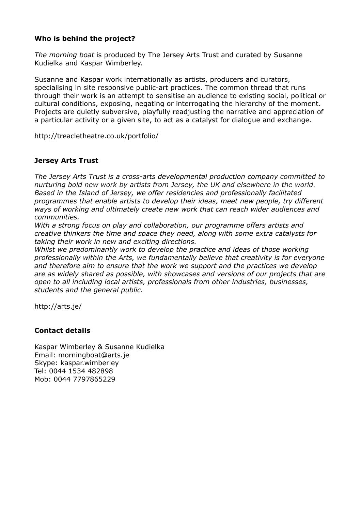# **Who is behind the project?**

*The morning boat* is produced by The Jersey Arts Trust and curated by Susanne Kudielka and Kaspar Wimberley.

Susanne and Kaspar work internationally as artists, producers and curators, specialising in site responsive public-art practices. The common thread that runs through their work is an attempt to sensitise an audience to existing social, political or cultural conditions, exposing, negating or interrogating the hierarchy of the moment. Projects are quietly subversive, playfully readjusting the narrative and appreciation of a particular activity or a given site, to act as a catalyst for dialogue and exchange.

<http://treacletheatre.co.uk/portfolio/>

# **Jersey Arts Trust**

*The Jersey Arts Trust is a cross-arts developmental production company committed to nurturing bold new work by artists from Jersey, the UK and elsewhere in the world. Based in the Island of Jersey, we offer residencies and professionally facilitated programmes that enable artists to develop their ideas, meet new people, try different ways of working and ultimately create new work that can reach wider audiences and communities.*

*With a strong focus on play and collaboration, our programme offers artists and creative thinkers the time and space they need, along with some extra catalysts for taking their work in new and exciting directions.*

Whilst we predominantly work to develop the practice and ideas of those working *professionally within the Arts, we fundamentally believe that creativity is for everyone and therefore aim to ensure that the work we support and the practices we develop are as widely shared as possible, with showcases and versions of our projects that are open to all including local artists, professionals from other industries, businesses, students and the general public.*

http://arts.je/

## **Contact details**

Kaspar Wimberley & Susanne Kudielka Email: morningboat@arts.je Skype: kaspar.wimberley Tel: 0044 1534 482898 Mob: 0044 7797865229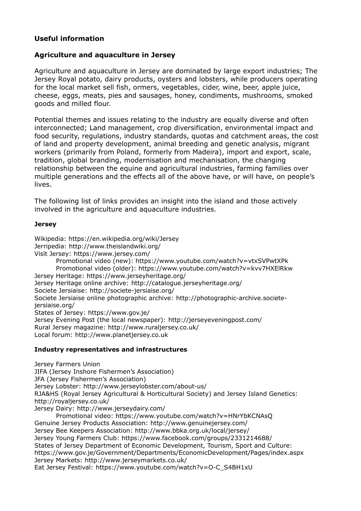# **Useful information**

## **Agriculture and aquaculture in Jersey**

Agriculture and aquaculture in Jersey are dominated by large export industries; The Jersey Royal potato, dairy products, oysters and lobsters, while producers operating for the local market sell fish, ormers, vegetables, cider, wine, beer, apple juice, cheese, eggs, meats, pies and sausages, honey, condiments, mushrooms, smoked goods and milled flour.

Potential themes and issues relating to the industry are equally diverse and often interconnected; Land management, crop diversification, environmental impact and food security, regulations, industry standards, quotas and catchment areas, the cost of land and property development, animal breeding and genetic analysis, migrant workers (primarily from Poland, formerly from Madeira), import and export, scale, tradition, global branding, modernisation and mechanisation, the changing relationship between the equine and agricultural industries, farming families over multiple generations and the effects all of the above have, or will have, on people's lives.

The following list of links provides an insight into the island and those actively involved in the agriculture and aquaculture industries.

#### **Jersey**

Wikipedia: https://en.wikipedia.org/wiki/Jersey Jerripedia:<http://www.theislandwiki.org/> Visit Jersey:<https://www.jersey.com/> Promotional video (new): https://www.youtube.com/watch?v=vtxSVPwtXPk Promotional video (older): https://www.youtube.com/watch?v=kvv7HXElRkw Jersey Heritage:<https://www.jerseyheritage.org/> Jersey Heritage online archive:<http://catalogue.jerseyheritage.org/> Societe Jersiaise:<http://societe-jersiaise.org/> Societe Jersiaise online photographic archive: [http://photographic-archive.societe](http://photographic-archive.societe-jersiaise.org/)[jersiaise.org/](http://photographic-archive.societe-jersiaise.org/) States of Jersey:<https://www.gov.je/> Jersey Evening Post (the local newspaper): <http://jerseyeveningpost.com/> Rural Jersey magazine:<http://www.ruraljersey.co.uk/> Local forum: [http://www.planetjersey.co.uk](http://www.planetjersey.co.uk/)

#### **Industry representatives and infrastructures**

Jersey Farmers Union JIFA (Jersey Inshore Fishermen's Association) JFA (Jersey Fishermen's Association) Jersey Lobster:<http://www.jerseylobster.com/about-us/> RJA&HS (Royal Jersey Agricultural & Horticultural Society) and Jersey Island Genetics: <http://royaljersey.co.uk/> Jersey Dairy:<http://www.jerseydairy.com/> Promotional video: https://www.youtube.com/watch?v=HNrYbKCNAsQ Genuine Jersey Products Association: http://www.genuinejersey.com/ Jersey Bee Keepers Association: http://www.bbka.org.uk/local/jersey/ Jersey Young Farmers Club: https://www.facebook.com/groups/2331214688/ States of Jersey Department of Economic Development, Tourism, Sport and Culture: https://www.gov.je/Government/Departments/EconomicDevelopment/Pages/index.aspx Jersey Markets:<http://www.jerseymarkets.co.uk/> Eat Jersey Festival: https://www.youtube.com/watch?v=O-C\_S4BH1xU